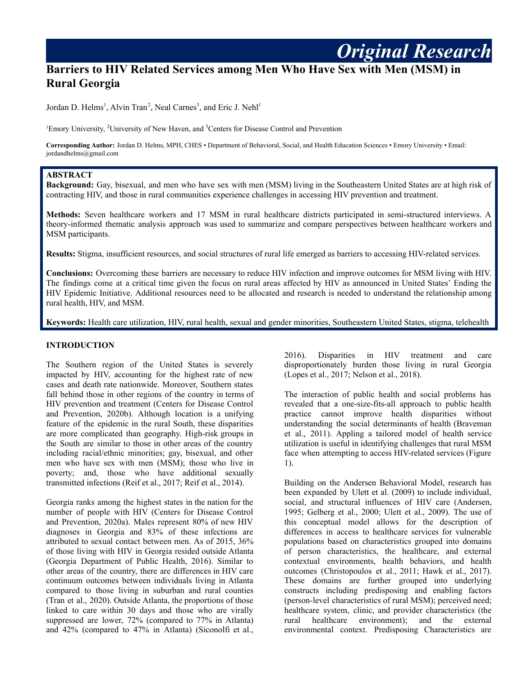# **Barriers to HIV Related Services among Men Who Have Sex with Men (MSM) in Rural Georgia**

Jordan D. Helms<sup>1</sup>, Alvin Tran<sup>2</sup>, Neal Carnes<sup>3</sup>, and Eric J. Nehl<sup>1</sup>

<sup>1</sup>Emory University, <sup>2</sup>University of New Haven, and <sup>3</sup>Centers for Disease Control and Prevention

**Corresponding Author:** Jordan D. Helms, MPH, CHES • Department of Behavioral, Social, and Health Education Sciences • Emory University • Email: jordandhelms@gmail.com

#### **ABSTRACT**

**Background:** Gay, bisexual, and men who have sex with men (MSM) living in the Southeastern United States are at high risk of contracting HIV, and those in rural communities experience challenges in accessing HIV prevention and treatment.

**Methods:** Seven healthcare workers and 17 MSM in rural healthcare districts participated in semi-structured interviews. A theory-informed thematic analysis approach was used to summarize and compare perspectives between healthcare workers and MSM participants.

**Results:** Stigma, insufficient resources, and social structures of rural life emerged as barriers to accessing HIV-related services.

**Conclusions:** Overcoming these barriers are necessary to reduce HIV infection and improve outcomes for MSM living with HIV. The findings come at a critical time given the focus on rural areas affected by HIV as announced in United States' Ending the HIV Epidemic Initiative. Additional resources need to be allocated and research is needed to understand the relationship among rural health, HIV, and MSM.

**Keywords:** Health care utilization, HIV, rural health, sexual and gender minorities, Southeastern United States, stigma, telehealth

#### **INTRODUCTION**

The Southern region of the United States is severely impacted by HIV, accounting for the highest rate of new cases and death rate nationwide. Moreover, Southern states fall behind those in other regions of the country in terms of HIV prevention and treatment (Centers for Disease Control and Prevention, 2020b). Although location is a unifying feature of the epidemic in the rural South, these disparities are more complicated than geography. High-risk groups in the South are similar to those in other areas of the country including racial/ethnic minorities; gay, bisexual, and other men who have sex with men (MSM); those who live in poverty; and, those who have additional sexually transmitted infections (Reif et al., 2017; Reif et al., 2014).

Georgia ranks among the highest states in the nation for the number of people with HIV (Centers for Disease Control and Prevention, 2020a). Males represent 80% of new HIV diagnoses in Georgia and 83% of these infections are attributed to sexual contact between men. As of 2015, 36% of those living with HIV in Georgia resided outside Atlanta (Georgia Department of Public Health, 2016). Similar to other areas of the country, there are differences in HIV care continuum outcomes between individuals living in Atlanta compared to those living in suburban and rural counties (Tran et al., 2020). Outside Atlanta, the proportions of those linked to care within 30 days and those who are virally suppressed are lower, 72% (compared to 77% in Atlanta) and 42% (compared to 47% in Atlanta) (Siconolfi et al.,

2016). Disparities in HIV treatment and care disproportionately burden those living in rural Georgia (Lopes et al., 2017; Nelson et al., 2018).

*Original Research*

The interaction of public health and social problems has revealed that a one-size-fits-all approach to public health practice cannot improve health disparities without understanding the social determinants of health (Braveman et al., 2011). Appling a tailored model of health service utilization is useful in identifying challenges that rural MSM face when attempting to access HIV-related services (Figure 1).

Building on the Andersen Behavioral Model, research has been expanded by Ulett et al. (2009) to include individual, social, and structural influences of HIV care (Andersen, 1995; Gelberg et al., 2000; Ulett et al., 2009). The use of this conceptual model allows for the description of differences in access to healthcare services for vulnerable populations based on characteristics grouped into domains of person characteristics, the healthcare, and external contextual environments, health behaviors, and health outcomes (Christopoulos et al., 2011; Hawk et al., 2017). These domains are further grouped into underlying constructs including predisposing and enabling factors (person-level characteristics of rural MSM); perceived need; healthcare system, clinic, and provider characteristics (the rural healthcare environment); and the external environmental context. Predisposing Characteristics are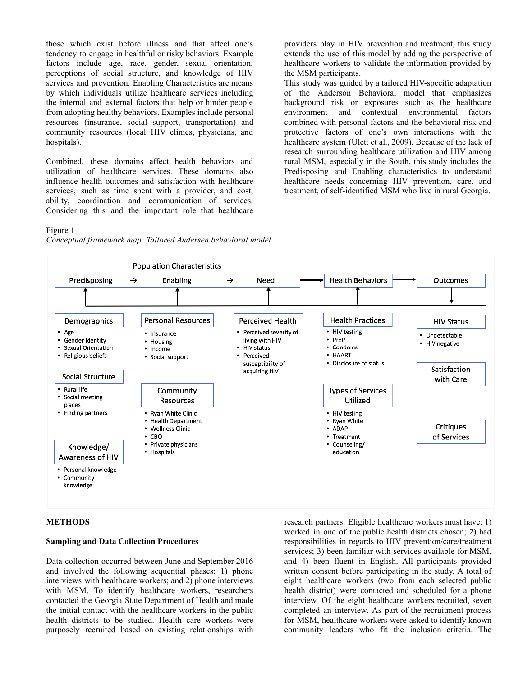those which exist before illness and that affect one's tendency to engage in healthful or risky behaviors. Example factors include age, race, gender, sexual orientation, perceptions of social structure, and knowledge of HIV services and prevention. Enabling Characteristics are means by which individuals utilize healthcare services including the internal and external factors that help or hinder people from adopting healthy behaviors. Examples include personal resources (insurance, social support, transportation) and community resources (local HIV clinics, physicians, and hospitals).

Combined, these domains affect health behaviors and utilization of healthcare services. These domains also influence health outcomes and satisfaction with healthcare services, such as time spent with a provider, and cost, ability, coordination and communication of services. Considering this and the important role that healthcare providers play in HIV prevention and treatment, this study extends the use of this model by adding the perspective of healthcare workers to validate the information provided by the MSM participants.

This study was guided by a tailored HIV-specific adaptation of the Anderson Behavioral model that emphasizes background risk or exposures such as the healthcare environment and contextual environmental factors combined with personal factors and the behavioral risk and protective factors of one's own interactions with the healthcare system (Ulett et al., 2009). Because of the lack of research surrounding healthcare utilization and HIV among rural MSM, especially in the South, this study includes the Predisposing and Enabling characteristics to understand healthcare needs concerning HIV prevention, care, and treatment, of self-identified MSM who live in rural Georgia.

#### Figure 1

*Conceptual framework map: Tailored Andersen behavioral model*



#### **METHODS**

#### **Sampling and Data Collection Procedures**

Data collection occurred between June and September 2016 and involved the following sequential phases: 1) phone interviews with healthcare workers; and 2) phone interviews with MSM. To identify healthcare workers, researchers contacted the Georgia State Department of Health and made the initial contact with the healthcare workers in the public health districts to be studied. Health care workers were purposely recruited based on existing relationships with

research partners. Eligible healthcare workers must have: 1) worked in one of the public health districts chosen; 2) had responsibilities in regards to HIV prevention/care/treatment services; 3) been familiar with services available for MSM, and 4) been fluent in English. All participants provided written consent before participating in the study. A total of eight healthcare workers (two from each selected public health district) were contacted and scheduled for a phone interview. Of the eight healthcare workers recruited, seven completed an interview. As part of the recruitment process for MSM, healthcare workers were asked to identify known community leaders who fit the inclusion criteria. The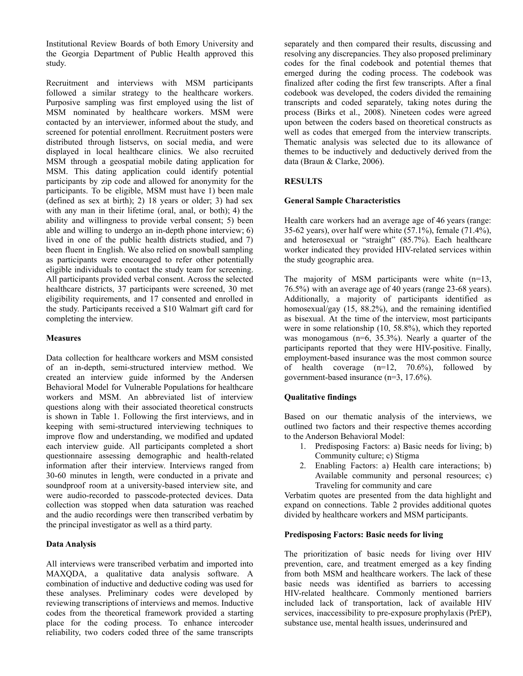Institutional Review Boards of both Emory University and the Georgia Department of Public Health approved this study.

Recruitment and interviews with MSM participants followed a similar strategy to the healthcare workers. Purposive sampling was first employed using the list of MSM nominated by healthcare workers. MSM were contacted by an interviewer, informed about the study, and screened for potential enrollment. Recruitment posters were distributed through listservs, on social media, and were displayed in local healthcare clinics. We also recruited MSM through a geospatial mobile dating application for MSM. This dating application could identify potential participants by zip code and allowed for anonymity for the participants. To be eligible, MSM must have 1) been male (defined as sex at birth); 2) 18 years or older; 3) had sex with any man in their lifetime (oral, anal, or both); 4) the ability and willingness to provide verbal consent; 5) been able and willing to undergo an in-depth phone interview; 6) lived in one of the public health districts studied, and 7) been fluent in English. We also relied on snowball sampling as participants were encouraged to refer other potentially eligible individuals to contact the study team for screening. All participants provided verbal consent. Across the selected healthcare districts, 37 participants were screened, 30 met eligibility requirements, and 17 consented and enrolled in the study. Participants received a \$10 Walmart gift card for completing the interview.

## **Measures**

Data collection for healthcare workers and MSM consisted of an in-depth, semi-structured interview method. We created an interview guide informed by the Andersen Behavioral Model for Vulnerable Populations for healthcare workers and MSM. An abbreviated list of interview questions along with their associated theoretical constructs is shown in Table 1. Following the first interviews, and in keeping with semi-structured interviewing techniques to improve flow and understanding, we modified and updated each interview guide. All participants completed a short questionnaire assessing demographic and health-related information after their interview. Interviews ranged from 30-60 minutes in length, were conducted in a private and soundproof room at a university-based interview site, and were audio-recorded to passcode-protected devices. Data collection was stopped when data saturation was reached and the audio recordings were then transcribed verbatim by the principal investigator as well as a third party.

# **Data Analysis**

All interviews were transcribed verbatim and imported into MAXQDA, a qualitative data analysis software. A combination of inductive and deductive coding was used for these analyses. Preliminary codes were developed by reviewing transcriptions of interviews and memos. Inductive codes from the theoretical framework provided a starting place for the coding process. To enhance intercoder reliability, two coders coded three of the same transcripts

separately and then compared their results, discussing and resolving any discrepancies. They also proposed preliminary codes for the final codebook and potential themes that emerged during the coding process. The codebook was finalized after coding the first few transcripts. After a final codebook was developed, the coders divided the remaining transcripts and coded separately, taking notes during the process (Birks et al., 2008). Nineteen codes were agreed upon between the coders based on theoretical constructs as well as codes that emerged from the interview transcripts. Thematic analysis was selected due to its allowance of themes to be inductively and deductively derived from the data (Braun & Clarke, 2006).

# **RESULTS**

## **General Sample Characteristics**

Health care workers had an average age of 46 years (range: 35-62 years), over half were white (57.1%), female (71.4%), and heterosexual or "straight" (85.7%). Each healthcare worker indicated they provided HIV-related services within the study geographic area.

The majority of MSM participants were white (n=13, 76.5%) with an average age of 40 years (range 23-68 years). Additionally, a majority of participants identified as homosexual/gay (15, 88.2%), and the remaining identified as bisexual. At the time of the interview, most participants were in some relationship (10, 58.8%), which they reported was monogamous  $(n=6, 35.3%)$ . Nearly a quarter of the participants reported that they were HIV-positive. Finally, employment-based insurance was the most common source of health coverage  $(n=12, 70.6\%)$ , followed by government-based insurance (n=3, 17.6%).

# **Qualitative findings**

Based on our thematic analysis of the interviews, we outlined two factors and their respective themes according to the Anderson Behavioral Model:

- 1. Predisposing Factors: a) Basic needs for living; b) Community culture; c) Stigma
- 2. Enabling Factors: a) Health care interactions; b) Available community and personal resources; c) Traveling for community and care

Verbatim quotes are presented from the data highlight and expand on connections. Table 2 provides additional quotes divided by healthcare workers and MSM participants.

## **Predisposing Factors: Basic needs for living**

The prioritization of basic needs for living over HIV prevention, care, and treatment emerged as a key finding from both MSM and healthcare workers. The lack of these basic needs was identified as barriers to accessing HIV-related healthcare. Commonly mentioned barriers included lack of transportation, lack of available HIV services, inaccessibility to pre-exposure prophylaxis (PrEP), substance use, mental health issues, underinsured and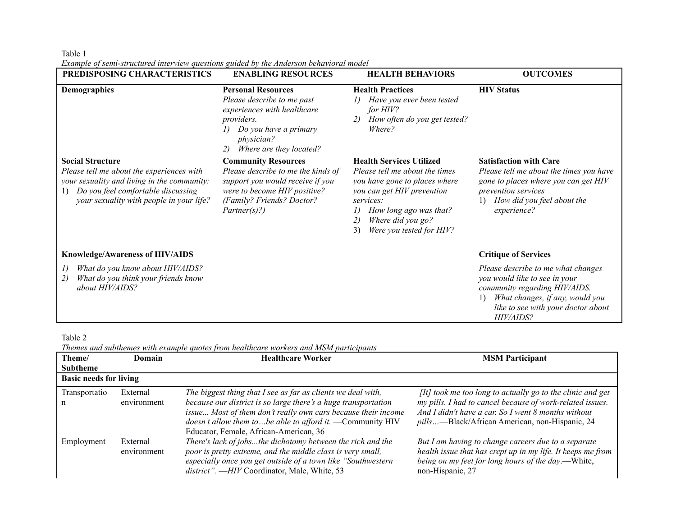Table 1

*Example of semi-structured interview questions guided by the Anderson behavioral model*

| PREDISPOSING CHARACTERISTICS                                                                                                                                                                                | <b>ENABLING RESOURCES</b>                                                                                                                                                            | <b>HEALTH BEHAVIORS</b>                                                                                                                                                                                                              | <b>OUTCOMES</b>                                                                                                                                                                                  |
|-------------------------------------------------------------------------------------------------------------------------------------------------------------------------------------------------------------|--------------------------------------------------------------------------------------------------------------------------------------------------------------------------------------|--------------------------------------------------------------------------------------------------------------------------------------------------------------------------------------------------------------------------------------|--------------------------------------------------------------------------------------------------------------------------------------------------------------------------------------------------|
| Demographics                                                                                                                                                                                                | <b>Personal Resources</b><br>Please describe to me past<br>experiences with healthcare<br><i>providers.</i><br>Do you have a primary<br>physician?<br>Where are they located?<br>2)  | <b>Health Practices</b><br>Have you ever been tested<br>for HIV?<br>How often do you get tested?<br>2)<br>Where?                                                                                                                     | <b>HIV Status</b>                                                                                                                                                                                |
| <b>Social Structure</b><br>Please tell me about the experiences with<br>your sexuality and living in the community:<br>Do you feel comfortable discussing<br>1)<br>your sexuality with people in your life? | <b>Community Resources</b><br>Please describe to me the kinds of<br>support you would receive if you<br>were to become HIV positive?<br>(Family? Friends? Doctor?<br>$Partner(s)$ ?) | <b>Health Services Utilized</b><br>Please tell me about the times<br>you have gone to places where<br>you can get HIV prevention<br>services:<br>How long ago was that?<br>Where did you go?<br>2)<br>Were you tested for HIV?<br>3) | <b>Satisfaction with Care</b><br>Please tell me about the times you have<br>gone to places where you can get HIV<br>prevention services<br>How did you feel about the<br>$_{1}$<br>experience?   |
| <b>Knowledge/Awareness of HIV/AIDS</b>                                                                                                                                                                      |                                                                                                                                                                                      |                                                                                                                                                                                                                                      | <b>Critique of Services</b>                                                                                                                                                                      |
| What do you know about HIV/AIDS?<br>$\iota$<br>What do you think your friends know<br>2)<br>about HIV/AIDS?                                                                                                 |                                                                                                                                                                                      |                                                                                                                                                                                                                                      | Please describe to me what changes<br>you would like to see in your<br>community regarding HIV/AIDS.<br>What changes, if any, would you<br>1)<br>like to see with your doctor about<br>HIV/AIDS? |

Table 2

*Themes and subthemes with example quotes from healthcare workers and MSM participants*

| Theme/<br><b>Subtheme</b>     | Domain                  | <b>Healthcare Worker</b>                                                                                                                                                                                                                                                                                         | <b>MSM</b> Participant                                                                                                                                                                                                           |
|-------------------------------|-------------------------|------------------------------------------------------------------------------------------------------------------------------------------------------------------------------------------------------------------------------------------------------------------------------------------------------------------|----------------------------------------------------------------------------------------------------------------------------------------------------------------------------------------------------------------------------------|
| <b>Basic needs for living</b> |                         |                                                                                                                                                                                                                                                                                                                  |                                                                                                                                                                                                                                  |
| Transportatio<br>n            | External<br>environment | The biggest thing that I see as far as clients we deal with,<br>because our district is so large there's a huge transportation<br>issue Most of them don't really own cars because their income<br>doesn't allow them to  be able to afford it. $\equiv$ Community HIV<br>Educator, Female, African-American, 36 | [It] took me too long to actually go to the clinic and get<br>my pills. I had to cancel because of work-related issues.<br>And I didn't have a car. So I went 8 months without<br>pills—Black/African American, non-Hispanic, 24 |
| Employment                    | External<br>environment | There's lack of jobsthe dichotomy between the rich and the<br>poor is pretty extreme, and the middle class is very small,<br>especially once you get outside of a town like "Southwestern"<br>district". -HIV Coordinator, Male, White, 53                                                                       | But I am having to change careers due to a separate<br>health issue that has crept up in my life. It keeps me from<br>being on my feet for long hours of the day.—White,<br>non-Hispanic, 27                                     |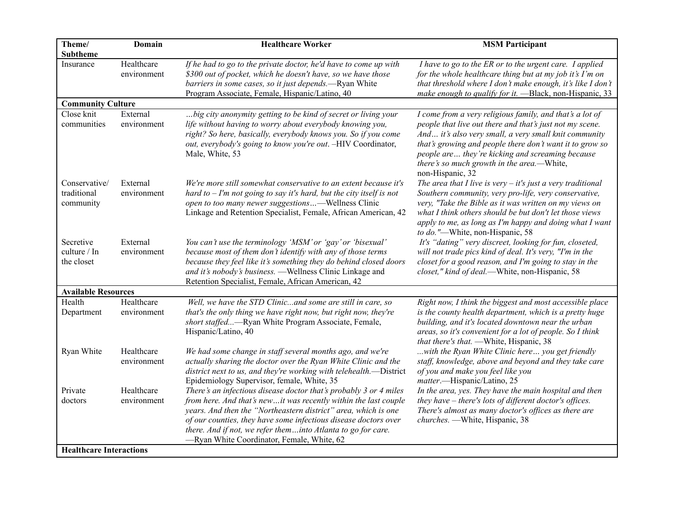| Theme/                                    | Domain                    | <b>Healthcare Worker</b>                                                                                                                                                                                                                                                                                                                                                                | <b>MSM Participant</b>                                                                                                                                                                                                                                                                                                                                          |
|-------------------------------------------|---------------------------|-----------------------------------------------------------------------------------------------------------------------------------------------------------------------------------------------------------------------------------------------------------------------------------------------------------------------------------------------------------------------------------------|-----------------------------------------------------------------------------------------------------------------------------------------------------------------------------------------------------------------------------------------------------------------------------------------------------------------------------------------------------------------|
| <b>Subtheme</b>                           |                           |                                                                                                                                                                                                                                                                                                                                                                                         |                                                                                                                                                                                                                                                                                                                                                                 |
| Insurance                                 | Healthcare<br>environment | If he had to go to the private doctor, he'd have to come up with<br>\$300 out of pocket, which he doesn't have, so we have those<br>barriers in some cases, so it just depends.—Ryan White<br>Program Associate, Female, Hispanic/Latino, 40                                                                                                                                            | I have to go to the ER or to the urgent care. I applied<br>for the whole healthcare thing but at my job it's I'm on<br>that threshold where I don't make enough, it's like I don't<br>make enough to qualify for it. -Black, non-Hispanic, 33                                                                                                                   |
| <b>Community Culture</b>                  |                           |                                                                                                                                                                                                                                                                                                                                                                                         |                                                                                                                                                                                                                                                                                                                                                                 |
| Close knit<br>communities                 | External<br>environment   | big city anonymity getting to be kind of secret or living your<br>life without having to worry about everybody knowing you,<br>right? So here, basically, everybody knows you. So if you come<br>out, everybody's going to know you're out. -HIV Coordinator,<br>Male, White, 53                                                                                                        | I come from a very religious family, and that's a lot of<br>people that live out there and that's just not my scene.<br>And it's also very small, a very small knit community<br>that's growing and people there don't want it to grow so<br>people are they're kicking and screaming because<br>there's so much growth in the area.-White,<br>non-Hispanic, 32 |
| Conservative/<br>traditional<br>community | External<br>environment   | We're more still somewhat conservative to an extent because it's<br>hard to $-I'm$ not going to say it's hard, but the city itself is not<br>open to too many newer suggestions—Wellness Clinic<br>Linkage and Retention Specialist, Female, African American, 42                                                                                                                       | The area that I live is very $-$ it's just a very traditional<br>Southern community, very pro-life, very conservative,<br>very, "Take the Bible as it was written on my views on<br>what I think others should be but don't let those views<br>apply to me, as long as I'm happy and doing what I want<br>to do."-White, non-Hispanic, 58                       |
| Secretive<br>culture / In<br>the closet   | External<br>environment   | You can't use the terminology 'MSM' or 'gay' or 'bisexual'<br>because most of them don't identify with any of those terms<br>because they feel like it's something they do behind closed doors<br>and it's nobody's business. - Wellness Clinic Linkage and<br>Retention Specialist, Female, African American, 42                                                                       | It's "dating" very discreet, looking for fun, closeted,<br>will not trade pics kind of deal. It's very, "I'm in the<br>closet for a good reason, and I'm going to stay in the<br>closet," kind of deal.-White, non-Hispanic, 58                                                                                                                                 |
| <b>Available Resources</b>                |                           |                                                                                                                                                                                                                                                                                                                                                                                         |                                                                                                                                                                                                                                                                                                                                                                 |
| Health<br>Department                      | Healthcare<br>environment | Well, we have the STD Clinicand some are still in care, so<br>that's the only thing we have right now, but right now, they're<br>short staffed—Ryan White Program Associate, Female,<br>Hispanic/Latino, 40                                                                                                                                                                             | Right now, I think the biggest and most accessible place<br>is the county health department, which is a pretty huge<br>building, and it's located downtown near the urban<br>areas, so it's convenient for a lot of people. So I think<br>that there's that. - White, Hispanic, 38                                                                              |
| Ryan White                                | Healthcare<br>environment | We had some change in staff several months ago, and we're<br>actually sharing the doctor over the Ryan White Clinic and the<br>district next to us, and they're working with telehealth.-District<br>Epidemiology Supervisor, female, White, 35                                                                                                                                         | with the Ryan White Clinic here you get friendly<br>staff, knowledge, above and beyond and they take care<br>of you and make you feel like you<br>matter.-Hispanic/Latino, 25                                                                                                                                                                                   |
| Private<br>doctors                        | Healthcare<br>environment | There's an infectious disease doctor that's probably 3 or 4 miles<br>from here. And that's newit was recently within the last couple<br>years. And then the "Northeastern district" area, which is one<br>of our counties, they have some infectious disease doctors over<br>there. And if not, we refer theminto Atlanta to go for care.<br>-Ryan White Coordinator, Female, White, 62 | In the area, yes. They have the main hospital and then<br>they have - there's lots of different doctor's offices.<br>There's almost as many doctor's offices as there are<br>churches. - White, Hispanic, 38                                                                                                                                                    |
| <b>Healthcare Interactions</b>            |                           |                                                                                                                                                                                                                                                                                                                                                                                         |                                                                                                                                                                                                                                                                                                                                                                 |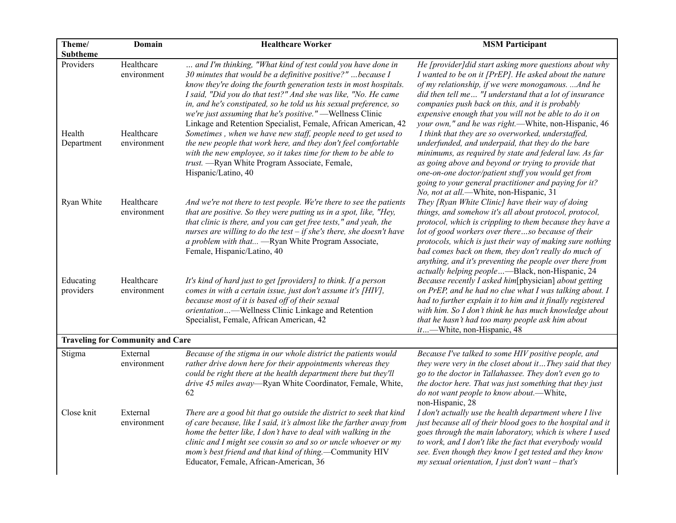| Theme/                 | Domain                                  | <b>Healthcare Worker</b>                                                                                                                                                                                                                                                                                                                                                                                                                                                                                                                | <b>MSM Participant</b>                                                                                                                                                                                                                                                                                                                                                                                                                                          |
|------------------------|-----------------------------------------|-----------------------------------------------------------------------------------------------------------------------------------------------------------------------------------------------------------------------------------------------------------------------------------------------------------------------------------------------------------------------------------------------------------------------------------------------------------------------------------------------------------------------------------------|-----------------------------------------------------------------------------------------------------------------------------------------------------------------------------------------------------------------------------------------------------------------------------------------------------------------------------------------------------------------------------------------------------------------------------------------------------------------|
| <b>Subtheme</b>        |                                         |                                                                                                                                                                                                                                                                                                                                                                                                                                                                                                                                         |                                                                                                                                                                                                                                                                                                                                                                                                                                                                 |
| Providers<br>Health    | Healthcare<br>environment<br>Healthcare | and I'm thinking, "What kind of test could you have done in<br>30 minutes that would be a definitive positive?"  because I<br>know they're doing the fourth generation tests in most hospitals.<br>I said, "Did you do that test?" And she was like, "No. He came<br>in, and he's constipated, so he told us his sexual preference, so<br>we're just assuming that he's positive." - Wellness Clinic<br>Linkage and Retention Specialist, Female, African American, 42<br>Sometimes, when we have new staff, people need to get used to | He [provider]did start asking more questions about why<br>I wanted to be on it [PrEP]. He asked about the nature<br>of my relationship, if we were monogamous. And he<br>did then tell me "I understand that a lot of insurance<br>companies push back on this, and it is probably<br>expensive enough that you will not be able to do it on<br>your own," and he was right.—White, non-Hispanic, 46<br>I think that they are so overworked, understaffed,      |
| Department             | environment                             | the new people that work here, and they don't feel comfortable<br>with the new employee, so it takes time for them to be able to<br>trust. - Ryan White Program Associate, Female,<br>Hispanic/Latino, 40                                                                                                                                                                                                                                                                                                                               | underfunded, and underpaid, that they do the bare<br>minimums, as required by state and federal law. As far<br>as going above and beyond or trying to provide that<br>one-on-one doctor/patient stuff you would get from<br>going to your general practitioner and paying for it?<br>No, not at all.-White, non-Hispanic, 31                                                                                                                                    |
| Ryan White             | Healthcare<br>environment               | And we're not there to test people. We're there to see the patients<br>that are positive. So they were putting us in a spot, like, "Hey,<br>that clinic is there, and you can get free tests," and yeah, the<br>nurses are willing to do the test $-$ if she's there, she doesn't have<br>a problem with that - Ryan White Program Associate,<br>Female, Hispanic/Latino, 40                                                                                                                                                            | They [Ryan White Clinic] have their way of doing<br>things, and somehow it's all about protocol, protocol,<br>protocol, which is crippling to them because they have a<br>lot of good workers over thereso because of their<br>protocols, which is just their way of making sure nothing<br>bad comes back on them, they don't really do much of<br>anything, and it's preventing the people over there from<br>actually helping people—Black, non-Hispanic, 24 |
| Educating<br>providers | Healthcare<br>environment               | It's kind of hard just to get [providers] to think. If a person<br>comes in with a certain issue, just don't assume it's [HIV],<br>because most of it is based off of their sexual<br>orientation—Wellness Clinic Linkage and Retention<br>Specialist, Female, African American, 42                                                                                                                                                                                                                                                     | Because recently I asked him[physician] about getting<br>on PrEP, and he had no clue what I was talking about. I<br>had to further explain it to him and it finally registered<br>with him. So I don't think he has much knowledge about<br>that he hasn't had too many people ask him about<br>it—White, non-Hispanic, 48                                                                                                                                      |
|                        | <b>Traveling for Community and Care</b> |                                                                                                                                                                                                                                                                                                                                                                                                                                                                                                                                         |                                                                                                                                                                                                                                                                                                                                                                                                                                                                 |
| Stigma                 | External<br>environment                 | Because of the stigma in our whole district the patients would<br>rather drive down here for their appointments whereas they<br>could be right there at the health department there but they'll<br>drive 45 miles away—Ryan White Coordinator, Female, White,<br>62                                                                                                                                                                                                                                                                     | Because I've talked to some HIV positive people, and<br>they were very in the closet about itThey said that they<br>go to the doctor in Tallahassee. They don't even go to<br>the doctor here. That was just something that they just<br>do not want people to know about.-White,<br>non-Hispanic, 28                                                                                                                                                           |
| Close knit             | External<br>environment                 | There are a good bit that go outside the district to seek that kind<br>of care because, like I said, it's almost like the farther away from<br>home the better like, I don't have to deal with walking in the<br>clinic and I might see cousin so and so or uncle whoever or my<br>mom's best friend and that kind of thing.-Community HIV<br>Educator, Female, African-American, 36                                                                                                                                                    | I don't actually use the health department where I live<br>just because all of their blood goes to the hospital and it<br>goes through the main laboratory, which is where I used<br>to work, and I don't like the fact that everybody would<br>see. Even though they know I get tested and they know<br>$my$ sexual orientation, I just don't want - that's                                                                                                    |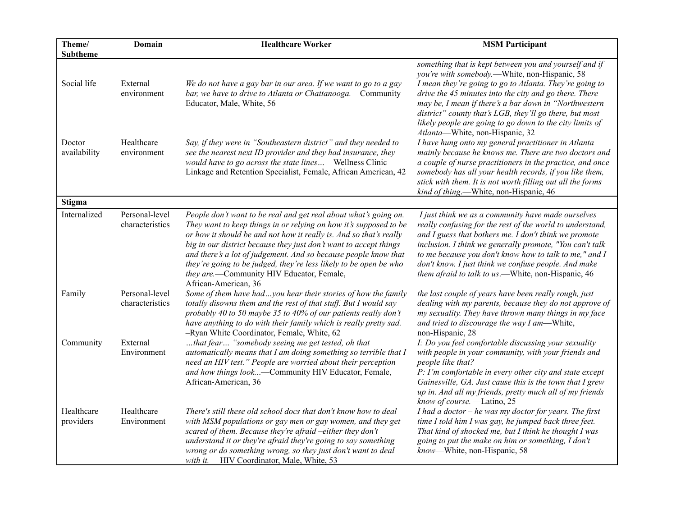| Theme/                  | Domain                            | <b>Healthcare Worker</b>                                                                                                                                                                                                                                                                                                                                                                                                  | <b>MSM Participant</b>                                                                                                                                                                                                                                                                                                                                 |
|-------------------------|-----------------------------------|---------------------------------------------------------------------------------------------------------------------------------------------------------------------------------------------------------------------------------------------------------------------------------------------------------------------------------------------------------------------------------------------------------------------------|--------------------------------------------------------------------------------------------------------------------------------------------------------------------------------------------------------------------------------------------------------------------------------------------------------------------------------------------------------|
| <b>Subtheme</b>         |                                   |                                                                                                                                                                                                                                                                                                                                                                                                                           | something that is kept between you and yourself and if                                                                                                                                                                                                                                                                                                 |
| Social life             | External<br>environment           | We do not have a gay bar in our area. If we want to go to a gay<br>bar, we have to drive to Atlanta or Chattanooga.—Community                                                                                                                                                                                                                                                                                             | you're with somebody.-White, non-Hispanic, 58<br>I mean they're going to go to Atlanta. They're going to<br>drive the 45 minutes into the city and go there. There                                                                                                                                                                                     |
|                         |                                   | Educator, Male, White, 56                                                                                                                                                                                                                                                                                                                                                                                                 | may be, I mean if there's a bar down in "Northwestern<br>district" county that's LGB, they'll go there, but most<br>likely people are going to go down to the city limits of<br>Atlanta-White, non-Hispanic, 32                                                                                                                                        |
| Doctor<br>availability  | Healthcare<br>environment         | Say, if they were in "Southeastern district" and they needed to<br>see the nearest next ID provider and they had insurance, they                                                                                                                                                                                                                                                                                          | I have hung onto my general practitioner in Atlanta<br>mainly because he knows me. There are two doctors and                                                                                                                                                                                                                                           |
|                         |                                   | would have to go across the state lines-Wellness Clinic                                                                                                                                                                                                                                                                                                                                                                   | a couple of nurse practitioners in the practice, and once                                                                                                                                                                                                                                                                                              |
|                         |                                   | Linkage and Retention Specialist, Female, African American, 42                                                                                                                                                                                                                                                                                                                                                            | somebody has all your health records, if you like them,<br>stick with them. It is not worth filling out all the forms<br>kind of thing.—White, non-Hispanic, 46                                                                                                                                                                                        |
| Stigma                  |                                   |                                                                                                                                                                                                                                                                                                                                                                                                                           |                                                                                                                                                                                                                                                                                                                                                        |
| Internalized            | Personal-level                    | People don't want to be real and get real about what's going on.                                                                                                                                                                                                                                                                                                                                                          | I just think we as a community have made ourselves                                                                                                                                                                                                                                                                                                     |
|                         | characteristics                   | They want to keep things in or relying on how it's supposed to be<br>or how it should be and not how it really is. And so that's really<br>big in our district because they just don't want to accept things<br>and there's a lot of judgement. And so because people know that<br>they're going to be judged, they're less likely to be open be who<br>they are.-Community HIV Educator, Female,<br>African-American, 36 | really confusing for the rest of the world to understand,<br>and I guess that bothers me. I don't think we promote<br>inclusion. I think we generally promote, "You can't talk<br>to me because you don't know how to talk to me," and I<br>don't know. I just think we confuse people. And make<br>them afraid to talk to us.-White, non-Hispanic, 46 |
| Family                  | Personal-level<br>characteristics | Some of them have hadyou hear their stories of how the family<br>totally disowns them and the rest of that stuff. But I would say<br>probably 40 to 50 maybe 35 to 40% of our patients really don't<br>have anything to do with their family which is really pretty sad.<br>-Ryan White Coordinator, Female, White, 62                                                                                                    | the last couple of years have been really rough, just<br>dealing with my parents, because they do not approve of<br>my sexuality. They have thrown many things in my face<br>and tried to discourage the way I am-White,<br>non-Hispanic, 28                                                                                                           |
| Community               | External<br>Environment           | that fear "somebody seeing me get tested, oh that<br>automatically means that I am doing something so terrible that I<br>need an HIV test." People are worried about their perception<br>and how things look-Community HIV Educator, Female,<br>African-American, 36                                                                                                                                                      | I: Do you feel comfortable discussing your sexuality<br>with people in your community, with your friends and<br>people like that?<br>P: I'm comfortable in every other city and state except<br>Gainesville, GA. Just cause this is the town that I grew<br>up in. And all my friends, pretty much all of my friends<br>know of course. -Latino, 25    |
| Healthcare<br>providers | Healthcare<br>Environment         | There's still these old school docs that don't know how to deal<br>with MSM populations or gay men or gay women, and they get<br>scared of them. Because they're afraid -either they don't<br>understand it or they're afraid they're going to say something<br>wrong or do something wrong, so they just don't want to deal<br>with it. -HIV Coordinator, Male, White, 53                                                | I had a doctor $-$ he was my doctor for years. The first<br>time I told him I was gay, he jumped back three feet.<br>That kind of shocked me, but I think he thought I was<br>going to put the make on him or something, I don't<br>know-White, non-Hispanic, 58                                                                                       |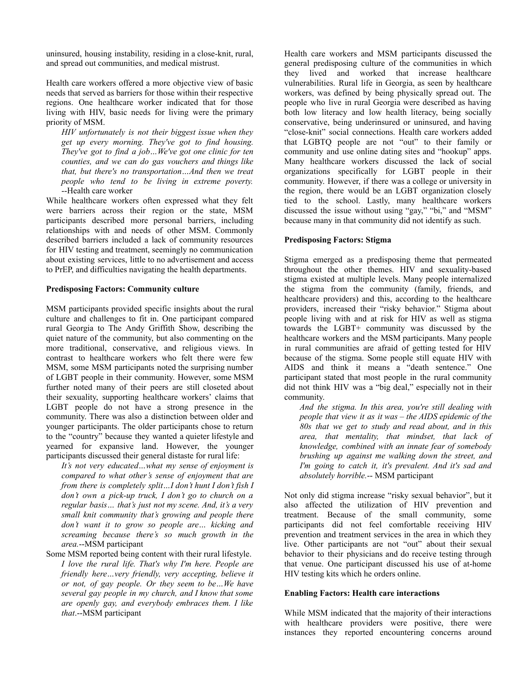uninsured, housing instability, residing in a close-knit, rural, and spread out communities, and medical mistrust.

Health care workers offered a more objective view of basic needs that served as barriers for those within their respective regions. One healthcare worker indicated that for those living with HIV, basic needs for living were the primary priority of MSM.

*HIV unfortunately is not their biggest issue when they get up every morning. They've got to find housing. They've got to find a job…We've got one clinic for ten counties, and we can do gas vouchers and things like that, but there's no transportation…And then we treat people who tend to be living in extreme poverty.* --Health care worker

While healthcare workers often expressed what they felt were barriers across their region or the state, MSM participants described more personal barriers, including relationships with and needs of other MSM. Commonly described barriers included a lack of community resources for HIV testing and treatment, seemingly no communication about existing services, little to no advertisement and access to PrEP, and difficulties navigating the health departments.

### **Predisposing Factors: Community culture**

MSM participants provided specific insights about the rural culture and challenges to fit in. One participant compared rural Georgia to The Andy Griffith Show, describing the quiet nature of the community, but also commenting on the more traditional, conservative, and religious views. In contrast to healthcare workers who felt there were few MSM, some MSM participants noted the surprising number of LGBT people in their community. However, some MSM further noted many of their peers are still closeted about their sexuality, supporting healthcare workers' claims that LGBT people do not have a strong presence in the community. There was also a distinction between older and younger participants. The older participants chose to return to the "country" because they wanted a quieter lifestyle and yearned for expansive land. However, the younger participants discussed their general distaste for rural life:

*It's not very educated…what my sense of enjoyment is compared to what other's sense of enjoyment that are from there is completely split…I don't hunt I don't fish I don't own a pick-up truck, I don't go to church on a regular basis… that's just not my scene. And, it's a very small knit community that's growing and people there don't want it to grow so people are… kicking and screaming because there's so much growth in the area.*--MSM participant

Some MSM reported being content with their rural lifestyle. *I love the rural life. That's why I'm here. People are friendly here…very friendly, very accepting, believe it or not, of gay people. Or they seem to be…We have several gay people in my church, and I know that some are openly gay, and everybody embraces them. I like that*.--MSM participant

Health care workers and MSM participants discussed the general predisposing culture of the communities in which they lived and worked that increase healthcare vulnerabilities. Rural life in Georgia, as seen by healthcare workers, was defined by being physically spread out. The people who live in rural Georgia were described as having both low literacy and low health literacy, being socially conservative, being underinsured or uninsured, and having "close-knit" social connections. Health care workers added that LGBTQ people are not "out" to their family or community and use online dating sites and "hookup" apps. Many healthcare workers discussed the lack of social organizations specifically for LGBT people in their community. However, if there was a college or university in the region, there would be an LGBT organization closely tied to the school. Lastly, many healthcare workers discussed the issue without using "gay," "bi," and "MSM" because many in that community did not identify as such.

## **Predisposing Factors: Stigma**

Stigma emerged as a predisposing theme that permeated throughout the other themes. HIV and sexuality-based stigma existed at multiple levels. Many people internalized the stigma from the community (family, friends, and healthcare providers) and this, according to the healthcare providers, increased their "risky behavior." Stigma about people living with and at risk for HIV as well as stigma towards the LGBT+ community was discussed by the healthcare workers and the MSM participants. Many people in rural communities are afraid of getting tested for HIV because of the stigma. Some people still equate HIV with AIDS and think it means a "death sentence." One participant stated that most people in the rural community did not think HIV was a "big deal," especially not in their community.

*And the stigma. In this area, you're still dealing with people that view it as it was – the AIDS epidemic of the 80s that we get to study and read about, and in this area, that mentality, that mindset, that lack of knowledge, combined with an innate fear of somebody brushing up against me walking down the street, and I'm going to catch it, it's prevalent. And it's sad and absolutely horrible.*-- MSM participant

Not only did stigma increase "risky sexual behavior", but it also affected the utilization of HIV prevention and treatment. Because of the small community, some participants did not feel comfortable receiving HIV prevention and treatment services in the area in which they live. Other participants are not "out" about their sexual behavior to their physicians and do receive testing through that venue. One participant discussed his use of at-home HIV testing kits which he orders online.

## **Enabling Factors: Health care interactions**

While MSM indicated that the majority of their interactions with healthcare providers were positive, there were instances they reported encountering concerns around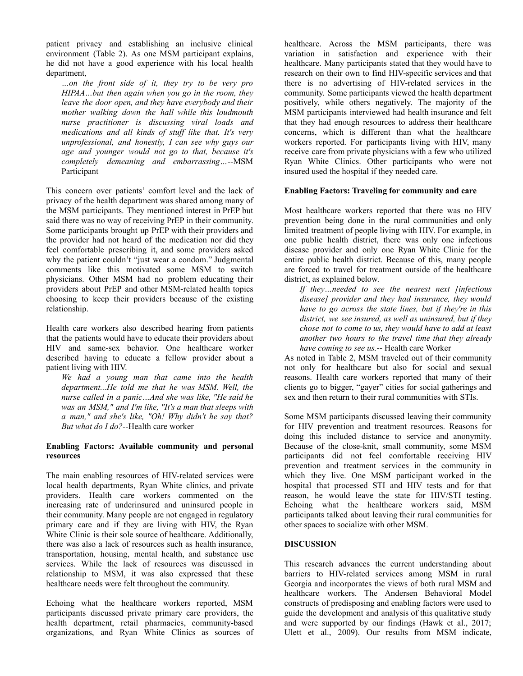patient privacy and establishing an inclusive clinical environment (Table 2). As one MSM participant explains, he did not have a good experience with his local health department,

*…on the front side of it, they try to be very pro HIPAA…but then again when you go in the room, they leave the door open, and they have everybody and their mother walking down the hall while this loudmouth nurse practitioner is discussing viral loads and medications and all kinds of stuf like that. It's very unprofessional, and honestly, I can see why guys our age and younger would not go to that, because it's completely demeaning and embarrassing…*--MSM Participant

This concern over patients' comfort level and the lack of privacy of the health department was shared among many of the MSM participants. They mentioned interest in PrEP but said there was no way of receiving PrEP in their community. Some participants brought up PrEP with their providers and the provider had not heard of the medication nor did they feel comfortable prescribing it, and some providers asked why the patient couldn't "just wear a condom." Judgmental comments like this motivated some MSM to switch physicians. Other MSM had no problem educating their providers about PrEP and other MSM-related health topics choosing to keep their providers because of the existing relationship.

Health care workers also described hearing from patients that the patients would have to educate their providers about HIV and same-sex behavior. One healthcare worker described having to educate a fellow provider about a patient living with HIV.

*We had a young man that came into the health department...He told me that he was MSM. Well, the nurse called in a panic…And she was like, "He said he was an MSM," and I'm like, "It's a man that sleeps with a man," and she's like, "Oh! Why didn't he say that? But what do I do?*--Health care worker

# **Enabling Factors: Available community and personal resources**

The main enabling resources of HIV-related services were local health departments, Ryan White clinics, and private providers. Health care workers commented on the increasing rate of underinsured and uninsured people in their community. Many people are not engaged in regulatory primary care and if they are living with HIV, the Ryan White Clinic is their sole source of healthcare. Additionally, there was also a lack of resources such as health insurance, transportation, housing, mental health, and substance use services. While the lack of resources was discussed in relationship to MSM, it was also expressed that these healthcare needs were felt throughout the community.

Echoing what the healthcare workers reported, MSM participants discussed private primary care providers, the health department, retail pharmacies, community-based organizations, and Ryan White Clinics as sources of healthcare. Across the MSM participants, there was variation in satisfaction and experience with their healthcare. Many participants stated that they would have to research on their own to find HIV-specific services and that there is no advertising of HIV-related services in the community. Some participants viewed the health department positively, while others negatively. The majority of the MSM participants interviewed had health insurance and felt that they had enough resources to address their healthcare concerns, which is different than what the healthcare workers reported. For participants living with HIV, many receive care from private physicians with a few who utilized Ryan White Clinics. Other participants who were not insured used the hospital if they needed care.

## **Enabling Factors: Traveling for community and care**

Most healthcare workers reported that there was no HIV prevention being done in the rural communities and only limited treatment of people living with HIV. For example, in one public health district, there was only one infectious disease provider and only one Ryan White Clinic for the entire public health district. Because of this, many people are forced to travel for treatment outside of the healthcare district, as explained below.

*If they…needed to see the nearest next [infectious disease] provider and they had insurance, they would have to go across the state lines, but if they're in this district, we see insured, as well as uninsured, but if they chose not to come to us, they would have to add at least another two hours to the travel time that they already have coming to see us.*-- Health care Worker

As noted in Table 2, MSM traveled out of their community not only for healthcare but also for social and sexual reasons. Health care workers reported that many of their clients go to bigger, "gayer" cities for social gatherings and sex and then return to their rural communities with STIs.

Some MSM participants discussed leaving their community for HIV prevention and treatment resources. Reasons for doing this included distance to service and anonymity. Because of the close-knit, small community, some MSM participants did not feel comfortable receiving HIV prevention and treatment services in the community in which they live. One MSM participant worked in the hospital that processed STI and HIV tests and for that reason, he would leave the state for HIV/STI testing. Echoing what the healthcare workers said, MSM participants talked about leaving their rural communities for other spaces to socialize with other MSM.

#### **DISCUSSION**

This research advances the current understanding about barriers to HIV-related services among MSM in rural Georgia and incorporates the views of both rural MSM and healthcare workers. The Andersen Behavioral Model constructs of predisposing and enabling factors were used to guide the development and analysis of this qualitative study and were supported by our findings (Hawk et al., 2017; Ulett et al., 2009). Our results from MSM indicate,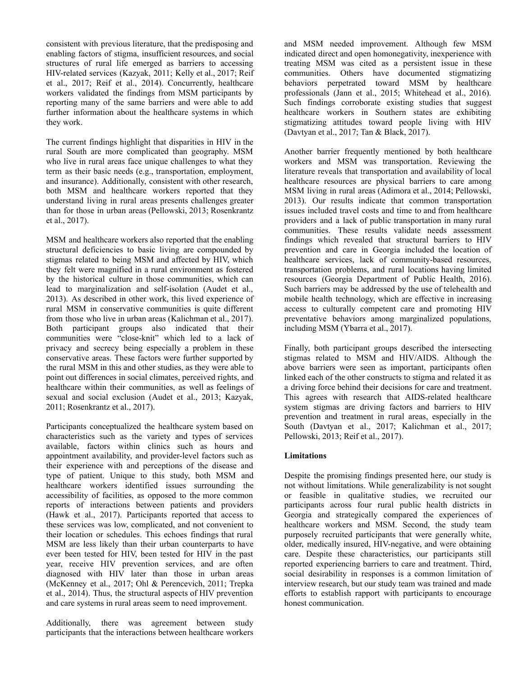consistent with previous literature, that the predisposing and enabling factors of stigma, insufficient resources, and social structures of rural life emerged as barriers to accessing HIV-related services (Kazyak, 2011; Kelly et al., 2017; Reif et al., 2017; Reif et al., 2014). Concurrently, healthcare workers validated the findings from MSM participants by reporting many of the same barriers and were able to add further information about the healthcare systems in which they work.

The current findings highlight that disparities in HIV in the rural South are more complicated than geography. MSM who live in rural areas face unique challenges to what they term as their basic needs (e.g., transportation, employment, and insurance). Additionally, consistent with other research, both MSM and healthcare workers reported that they understand living in rural areas presents challenges greater than for those in urban areas (Pellowski, 2013; Rosenkrantz et al., 2017).

MSM and healthcare workers also reported that the enabling structural deficiencies to basic living are compounded by stigmas related to being MSM and affected by HIV, which they felt were magnified in a rural environment as fostered by the historical culture in those communities, which can lead to marginalization and self-isolation (Audet et al., 2013). As described in other work, this lived experience of rural MSM in conservative communities is quite different from those who live in urban areas (Kalichman et al., 2017). Both participant groups also indicated that their communities were "close-knit" which led to a lack of privacy and secrecy being especially a problem in these conservative areas. These factors were further supported by the rural MSM in this and other studies, as they were able to point out differences in social climates, perceived rights, and healthcare within their communities, as well as feelings of sexual and social exclusion (Audet et al., 2013; Kazyak, 2011; Rosenkrantz et al., 2017).

Participants conceptualized the healthcare system based on characteristics such as the variety and types of services available, factors within clinics such as hours and appointment availability, and provider-level factors such as their experience with and perceptions of the disease and type of patient. Unique to this study, both MSM and healthcare workers identified issues surrounding the accessibility of facilities, as opposed to the more common reports of interactions between patients and providers (Hawk et al., 2017). Participants reported that access to these services was low, complicated, and not convenient to their location or schedules. This echoes findings that rural MSM are less likely than their urban counterparts to have ever been tested for HIV, been tested for HIV in the past year, receive HIV prevention services, and are often diagnosed with HIV later than those in urban areas (McKenney et al., 2017; Ohl & Perencevich, 2011; Trepka et al., 2014). Thus, the structural aspects of HIV prevention and care systems in rural areas seem to need improvement.

Additionally, there was agreement between study participants that the interactions between healthcare workers

and MSM needed improvement. Although few MSM indicated direct and open homonegativity, inexperience with treating MSM was cited as a persistent issue in these communities. Others have documented stigmatizing behaviors perpetrated toward MSM by healthcare professionals (Jann et al., 2015; Whitehead et al., 2016). Such findings corroborate existing studies that suggest healthcare workers in Southern states are exhibiting stigmatizing attitudes toward people living with HIV (Davtyan et al., 2017; Tan & Black, 2017).

Another barrier frequently mentioned by both healthcare workers and MSM was transportation. Reviewing the literature reveals that transportation and availability of local healthcare resources are physical barriers to care among MSM living in rural areas (Adimora et al., 2014; Pellowski, 2013). Our results indicate that common transportation issues included travel costs and time to and from healthcare providers and a lack of public transportation in many rural communities. These results validate needs assessment findings which revealed that structural barriers to HIV prevention and care in Georgia included the location of healthcare services, lack of community-based resources, transportation problems, and rural locations having limited resources (Georgia Department of Public Health, 2016). Such barriers may be addressed by the use of telehealth and mobile health technology, which are effective in increasing access to culturally competent care and promoting HIV preventative behaviors among marginalized populations, including MSM (Ybarra et al., 2017).

Finally, both participant groups described the intersecting stigmas related to MSM and HIV/AIDS. Although the above barriers were seen as important, participants often linked each of the other constructs to stigma and related it as a driving force behind their decisions for care and treatment. This agrees with research that AIDS-related healthcare system stigmas are driving factors and barriers to HIV prevention and treatment in rural areas, especially in the South (Davtyan et al., 2017; Kalichman et al., 2017; Pellowski, 2013; Reif et al., 2017).

## **Limitations**

Despite the promising findings presented here, our study is not without limitations. While generalizability is not sought or feasible in qualitative studies, we recruited our participants across four rural public health districts in Georgia and strategically compared the experiences of healthcare workers and MSM. Second, the study team purposely recruited participants that were generally white, older, medically insured, HIV-negative, and were obtaining care. Despite these characteristics, our participants still reported experiencing barriers to care and treatment. Third, social desirability in responses is a common limitation of interview research, but our study team was trained and made efforts to establish rapport with participants to encourage honest communication.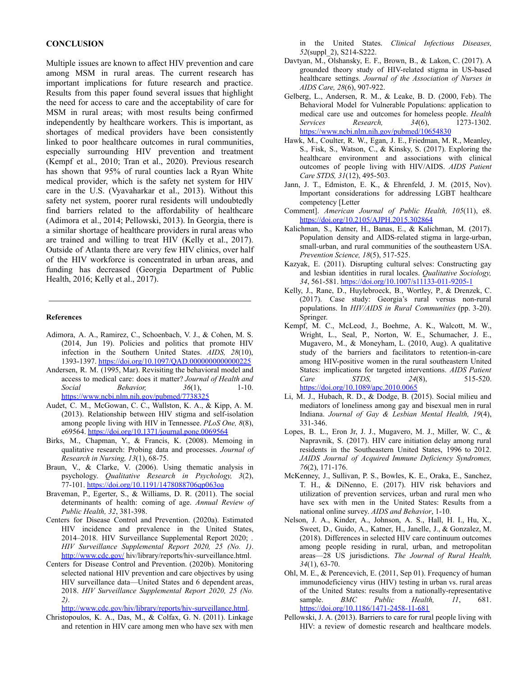#### **CONCLUSION**

Multiple issues are known to affect HIV prevention and care among MSM in rural areas. The current research has important implications for future research and practice. Results from this paper found several issues that highlight the need for access to care and the acceptability of care for MSM in rural areas; with most results being confirmed independently by healthcare workers. This is important, as shortages of medical providers have been consistently linked to poor healthcare outcomes in rural communities, especially surrounding HIV prevention and treatment (Kempf et al., 2010; Tran et al., 2020). Previous research has shown that 95% of rural counties lack a Ryan White medical provider, which is the safety net system for HIV care in the U.S. (Vyavaharkar et al., 2013). Without this safety net system, poorer rural residents will undoubtedly find barriers related to the affordability of healthcare (Adimora et al., 2014; Pellowski, 2013). In Georgia, there is a similar shortage of healthcare providers in rural areas who are trained and willing to treat HIV (Kelly et al., 2017). Outside of Atlanta there are very few HIV clinics, over half of the HIV workforce is concentrated in urban areas, and funding has decreased (Georgia Department of Public Health, 2016; Kelly et al., 2017).

#### **References**

- Adimora, A. A., Ramirez, C., Schoenbach, V. J., & Cohen, M. S. (2014, Jun 19). Policies and politics that promote HIV infection in the Southern United States. *AIDS, 28*(10), 1393-1397. <https://doi.org/10.1097/QAD.0000000000000225>
- Andersen, R. M. (1995, Mar). Revisiting the behavioral model and access to medical care: does it matter? *Journal of Health and Social Behavior, 36*(1), 1-10. <https://www.ncbi.nlm.nih.gov/pubmed/7738325>
- Audet, C. M., McGowan, C. C., Wallston, K. A., & Kipp, A. M. (2013). Relationship between HIV stigma and self-isolation among people living with HIV in Tennessee. *PLoS One, 8*(8), e69564. <https://doi.org/10.1371/journal.pone.0069564>
- Birks, M., Chapman, Y., & Francis, K. (2008). Memoing in qualitative research: Probing data and processes. *Journal of Research in Nursing, 13*(1), 68-75.
- Braun, V., & Clarke, V. (2006). Using thematic analysis in psychology. *Qualitative Research in Psychology, 3*(2), 77-101. <https://doi.org/10.1191/1478088706qp063oa>
- Braveman, P., Egerter, S., & Williams, D. R. (2011). The social determinants of health: coming of age. *Annual Review of Public Health, 32*, 381-398.
- Centers for Disease Control and Prevention. (2020a). Estimated HIV incidence and prevalence in the United States, 2014–2018. HIV Surveillance Supplemental Report 2020; . *HIV Surveillance Supplemental Report 2020, 25 (No. 1)*. <http://www.cdc.gov/> hiv/library/reports/hiv-surveillance.html.
- Centers for Disease Control and Prevention. (2020b). Monitoring selected national HIV prevention and care objectives by using HIV surveillance data—United States and 6 dependent areas, 2018. *HIV Surveillance Supplemental Report 2020, 25 (No. 2)*.

<http://www.cdc.gov/hiv/library/reports/hiv-surveillance.html>.

Christopoulos, K. A., Das, M., & Colfax, G. N. (2011). Linkage and retention in HIV care among men who have sex with men in the United States. *Clinical Infectious Diseases, 52*(suppl\_2), S214-S222.

- Davtyan, M., Olshansky, E. F., Brown, B., & Lakon, C. (2017). A grounded theory study of HIV-related stigma in US-based healthcare settings. *Journal of the Association of Nurses in AIDS Care, 28*(6), 907-922.
- Gelberg, L., Andersen, R. M., & Leake, B. D. (2000, Feb). The Behavioral Model for Vulnerable Populations: application to medical care use and outcomes for homeless people. *Health Services Research, 34*(6), 1273-1302. <https://www.ncbi.nlm.nih.gov/pubmed/10654830>
- Hawk, M., Coulter, R. W., Egan, J. E., Friedman, M. R., Meanley, S., Fisk, S., Watson, C., & Kinsky, S. (2017). Exploring the healthcare environment and associations with clinical outcomes of people living with HIV/AIDS. *AIDS Patient Care STDS, 31*(12), 495-503.
- Jann, J. T., Edmiston, E. K., & Ehrenfeld, J. M. (2015, Nov). Important considerations for addressing LGBT healthcare competency [Letter
- Comment]. *American Journal of Public Health, 105*(11), e8. <https://doi.org/10.2105/AJPH.2015.302864>
- Kalichman, S., Katner, H., Banas, E., & Kalichman, M. (2017). Population density and AIDS-related stigma in large-urban, small-urban, and rural communities of the southeastern USA. *Prevention Science, 18*(5), 517-525.
- Kazyak, E. (2011). Disrupting cultural selves: Constructing gay and lesbian identities in rural locales. *Qualitative Sociology, 34*, 561-581. <https://doi.org/10.1007/s11133-011-9205-1>
- Kelly, J., Rane, D., Huylebroeck, B., Wortley, P., & Drenzek, C. (2017). Case study: Georgia's rural versus non-rural populations. In *HIV/AIDS in Rural Communities* (pp. 3-20). Springer.
- Kempf, M. C., McLeod, J., Boehme, A. K., Walcott, M. W., Wright, L., Seal, P., Norton, W. E., Schumacher, J. E., Mugavero, M., & Moneyham, L. (2010, Aug). A qualitative study of the barriers and facilitators to retention-in-care among HIV-positive women in the rural southeastern United States: implications for targeted interventions. *AIDS Patient Care STDS, 24*(8), 515-520. <https://doi.org/10.1089/apc.2010.0065>
- Li, M. J., Hubach, R. D., & Dodge, B. (2015). Social milieu and mediators of loneliness among gay and bisexual men in rural Indiana. *Journal of Gay & Lesbian Mental Health, 19*(4), 331-346.
- Lopes, B. L., Eron Jr, J. J., Mugavero, M. J., Miller, W. C., & Napravnik, S. (2017). HIV care initiation delay among rural residents in the Southeastern United States, 1996 to 2012. *JAIDS Journal of Acquired Immune Deficiency Syndromes, 76*(2), 171-176.
- McKenney, J., Sullivan, P. S., Bowles, K. E., Oraka, E., Sanchez, T. H., & DiNenno, E. (2017). HIV risk behaviors and utilization of prevention services, urban and rural men who have sex with men in the United States: Results from a national online survey. *AIDS and Behavior*, 1-10.
- Nelson, J. A., Kinder, A., Johnson, A. S., Hall, H. I., Hu, X., Sweet, D., Guido, A., Katner, H., Janelle, J., & Gonzalez, M. (2018). Differences in selected HIV care continuum outcomes among people residing in rural, urban, and metropolitan areas—28 US jurisdictions. *The Journal of Rural Health, 34*(1), 63-70.
- Ohl, M. E., & Perencevich, E. (2011, Sep 01). Frequency of human immunodeficiency virus (HIV) testing in urban vs. rural areas of the United States: results from a nationally-representative sample. *BMC Public Health, 11*, 681. <https://doi.org/10.1186/1471-2458-11-681>
- Pellowski, J. A. (2013). Barriers to care for rural people living with HIV: a review of domestic research and healthcare models.